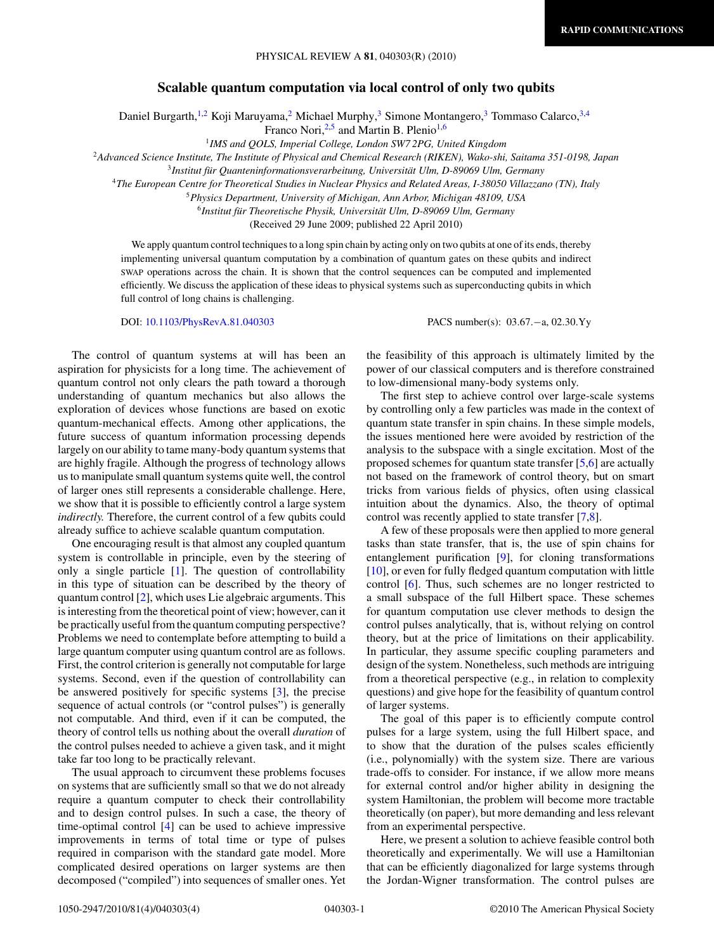# **Scalable quantum computation via local control of only two qubits**

Daniel Burgarth,<sup>1,2</sup> Koji Maruyama,<sup>2</sup> Michael Murphy,<sup>3</sup> Simone Montangero,<sup>3</sup> Tommaso Calarco,<sup>3,4</sup>

Franco Nori, $2.5$  and Martin B. Plenio<sup>1,6</sup>

<sup>1</sup>*IMS and QOLS, Imperial College, London SW7 2PG, United Kingdom*

<sup>2</sup>*Advanced Science Institute, The Institute of Physical and Chemical Research (RIKEN), Wako-shi, Saitama 351-0198, Japan*

<sup>3</sup>*Institut für Quanteninformationsverarbeitung, Universität Ulm, D-89069 Ulm, Germany* 

<sup>4</sup>*The European Centre for Theoretical Studies in Nuclear Physics and Related Areas, I-38050 Villazzano (TN), Italy*

<sup>5</sup>*Physics Department, University of Michigan, Ann Arbor, Michigan 48109, USA*

<sup>6</sup> Institut für Theoretische Physik, Universität Ulm, D-89069 Ulm, Germany

(Received 29 June 2009; published 22 April 2010)

We apply quantum control techniques to a long spin chain by acting only on two qubits at one of its ends, thereby implementing universal quantum computation by a combination of quantum gates on these qubits and indirect SWAP operations across the chain. It is shown that the control sequences can be computed and implemented efficiently. We discuss the application of these ideas to physical systems such as superconducting qubits in which full control of long chains is challenging.

DOI: [10.1103/PhysRevA.81.040303](http://dx.doi.org/10.1103/PhysRevA.81.040303) PACS number(s): 03*.*67*.*−a, 02*.*30*.*Yy

The control of quantum systems at will has been an aspiration for physicists for a long time. The achievement of quantum control not only clears the path toward a thorough understanding of quantum mechanics but also allows the exploration of devices whose functions are based on exotic quantum-mechanical effects. Among other applications, the future success of quantum information processing depends largely on our ability to tame many-body quantum systems that are highly fragile. Although the progress of technology allows us to manipulate small quantum systems quite well, the control of larger ones still represents a considerable challenge. Here, we show that it is possible to efficiently control a large system *indirectly.* Therefore, the current control of a few qubits could already suffice to achieve scalable quantum computation.

One encouraging result is that almost any coupled quantum system is controllable in principle, even by the steering of only a single particle [\[1\]](#page-3-0). The question of controllability in this type of situation can be described by the theory of quantum control [\[2\]](#page-3-0), which uses Lie algebraic arguments. This is interesting from the theoretical point of view; however, can it be practically useful from the quantum computing perspective? Problems we need to contemplate before attempting to build a large quantum computer using quantum control are as follows. First, the control criterion is generally not computable for large systems. Second, even if the question of controllability can be answered positively for specific systems [\[3\]](#page-3-0), the precise sequence of actual controls (or "control pulses") is generally not computable. And third, even if it can be computed, the theory of control tells us nothing about the overall *duration* of the control pulses needed to achieve a given task, and it might take far too long to be practically relevant.

The usual approach to circumvent these problems focuses on systems that are sufficiently small so that we do not already require a quantum computer to check their controllability and to design control pulses. In such a case, the theory of time-optimal control [\[4\]](#page-3-0) can be used to achieve impressive improvements in terms of total time or type of pulses required in comparison with the standard gate model. More complicated desired operations on larger systems are then decomposed ("compiled") into sequences of smaller ones. Yet the feasibility of this approach is ultimately limited by the power of our classical computers and is therefore constrained to low-dimensional many-body systems only.

The first step to achieve control over large-scale systems by controlling only a few particles was made in the context of quantum state transfer in spin chains. In these simple models, the issues mentioned here were avoided by restriction of the analysis to the subspace with a single excitation. Most of the proposed schemes for quantum state transfer [\[5,6\]](#page-3-0) are actually not based on the framework of control theory, but on smart tricks from various fields of physics, often using classical intuition about the dynamics. Also, the theory of optimal control was recently applied to state transfer [\[7,8\]](#page-3-0).

A few of these proposals were then applied to more general tasks than state transfer, that is, the use of spin chains for entanglement purification [\[9\]](#page-3-0), for cloning transformations [\[10\]](#page-3-0), or even for fully fledged quantum computation with little control [\[6\]](#page-3-0). Thus, such schemes are no longer restricted to a small subspace of the full Hilbert space. These schemes for quantum computation use clever methods to design the control pulses analytically, that is, without relying on control theory, but at the price of limitations on their applicability. In particular, they assume specific coupling parameters and design of the system. Nonetheless, such methods are intriguing from a theoretical perspective (e.g., in relation to complexity questions) and give hope for the feasibility of quantum control of larger systems.

The goal of this paper is to efficiently compute control pulses for a large system, using the full Hilbert space, and to show that the duration of the pulses scales efficiently (i.e., polynomially) with the system size. There are various trade-offs to consider. For instance, if we allow more means for external control and/or higher ability in designing the system Hamiltonian, the problem will become more tractable theoretically (on paper), but more demanding and less relevant from an experimental perspective.

Here, we present a solution to achieve feasible control both theoretically and experimentally. We will use a Hamiltonian that can be efficiently diagonalized for large systems through the Jordan-Wigner transformation. The control pulses are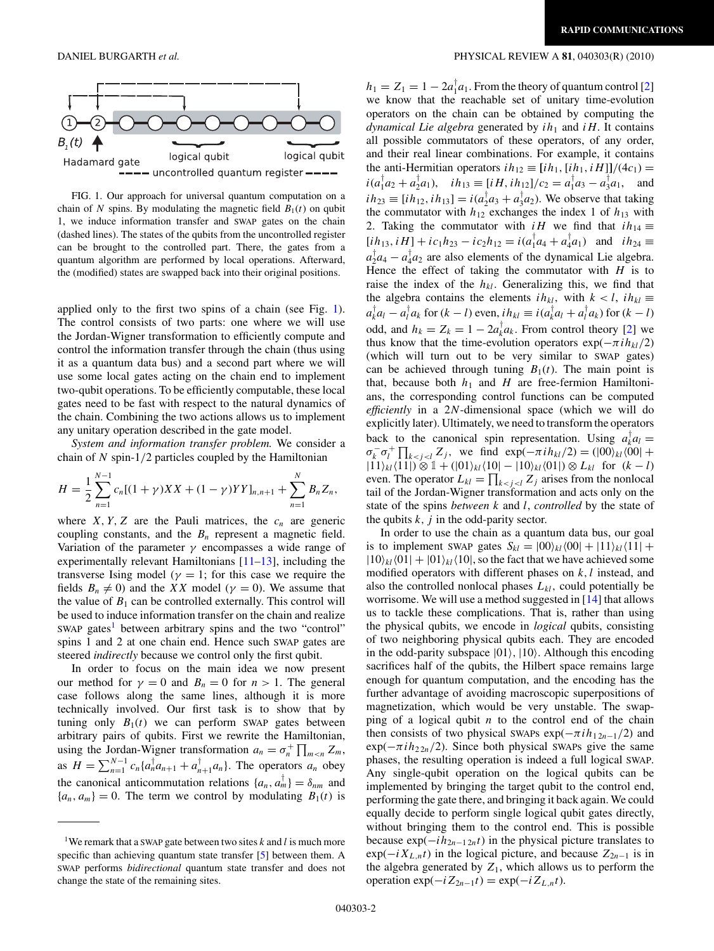

FIG. 1. Our approach for universal quantum computation on a chain of *N* spins. By modulating the magnetic field  $B_1(t)$  on qubit 1, we induce information transfer and SWAP gates on the chain (dashed lines). The states of the qubits from the uncontrolled register can be brought to the controlled part. There, the gates from a quantum algorithm are performed by local operations. Afterward, the (modified) states are swapped back into their original positions.

applied only to the first two spins of a chain (see Fig. 1). The control consists of two parts: one where we will use the Jordan-Wigner transformation to efficiently compute and control the information transfer through the chain (thus using it as a quantum data bus) and a second part where we will use some local gates acting on the chain end to implement two-qubit operations. To be efficiently computable, these local gates need to be fast with respect to the natural dynamics of the chain. Combining the two actions allows us to implement any unitary operation described in the gate model.

*System and information transfer problem.* We consider a chain of *N* spin-1*/*2 particles coupled by the Hamiltonian

$$
H = \frac{1}{2} \sum_{n=1}^{N-1} c_n [(1+\gamma)XX + (1-\gamma)YY]_{n,n+1} + \sum_{n=1}^{N} B_n Z_n,
$$

where *X*, *Y*, *Z* are the Pauli matrices, the  $c_n$  are generic coupling constants, and the  $B_n$  represent a magnetic field. Variation of the parameter *γ* encompasses a wide range of experimentally relevant Hamiltonians [\[11–13\]](#page-3-0), including the transverse Ising model ( $\gamma = 1$ ; for this case we require the fields  $B_n \neq 0$ ) and the *XX* model ( $\gamma = 0$ ). We assume that the value of  $B_1$  can be controlled externally. This control will be used to induce information transfer on the chain and realize SWAP gates<sup>1</sup> between arbitrary spins and the two "control" spins 1 and 2 at one chain end. Hence such SWAP gates are steered *indirectly* because we control only the first qubit.

In order to focus on the main idea we now present our method for  $\gamma = 0$  and  $B_n = 0$  for  $n > 1$ . The general case follows along the same lines, although it is more technically involved. Our first task is to show that by tuning only  $B_1(t)$  we can perform SWAP gates between arbitrary pairs of qubits. First we rewrite the Hamiltonian, using the Jordan-Wigner transformation  $a_n = \sigma_n^+ \prod_{m < n} Z_m$ , as  $H = \sum_{n=1}^{N-1} c_n \{a_n^{\dagger} a_{n+1} + a_{n+1}^{\dagger} a_n\}$ . The operators  $a_n$  obey the canonical anticommutation relations  $\{a_n, a_m^{\dagger}\} = \delta_{nm}$  and  ${a_n, a_m} = 0$ . The term we control by modulating  $B_1(t)$  is

#### DANIEL BURGARTH *et al.* PHYSICAL REVIEW A **81**, 040303(R) (2010)

 $h_1 = Z_1 = 1 - 2a_1^{\dagger}a_1$ . From the theory of quantum control [\[2\]](#page-3-0) we know that the reachable set of unitary time-evolution operators on the chain can be obtained by computing the *dynamical Lie algebra* generated by  $ih_1$  and  $iH$ . It contains all possible commutators of these operators, of any order, and their real linear combinations. For example, it contains the anti-Hermitian operators  $ih_{12} \equiv [ih_1, [ih_1, iH]]/(4c_1) =$  $i(a_1^{\dagger}a_2 + a_2^{\dagger}a_1), \quad i h_{13} \equiv [iH, i h_{12}]/c_2 = a_1^{\dagger}a_3 - a_3^{\dagger}a_1, \quad \text{and}$  $i h_{23} \equiv [i h_{12}, i h_{13}] = i (a_2^{\dagger} a_3 + a_3^{\dagger} a_2)$ . We observe that taking the commutator with  $h_{12}$  exchanges the index 1 of  $h_{13}$  with 2. Taking the commutator with *iH* we find that  $ih_{14} \equiv$  $[ih_{13}, iH] + ic_1h_{23} - ic_2h_{12} = i(a_1^{\dagger}a_4 + a_4^{\dagger}a_1)$  and  $ih_{24} \equiv$  $a_2^{\dagger} a_4 - a_4^{\dagger} a_2$  are also elements of the dynamical Lie algebra. Hence the effect of taking the commutator with  $H$  is to raise the index of the  $h_{kl}$ . Generalizing this, we find that the algebra contains the elements  $ih_{kl}$ , with  $k < l$ ,  $ih_{kl} \equiv$  $a_k^{\dagger} a_l - a_l^{\dagger} a_k$  for  $(k - l)$  even,  $ih_{kl} \equiv i(a_k^{\dagger} a_l + a_l^{\dagger} a_k)$  for  $(k - l)$ odd, and  $h_k = Z_k = 1 - 2a_k^{\dagger}a_k$ . From control theory [\[2\]](#page-3-0) we thus know that the time-evolution operators  $\exp(-\pi i h_{kl}/2)$ (which will turn out to be very similar to SWAP gates) can be achieved through tuning  $B_1(t)$ . The main point is that, because both  $h_1$  and  $H$  are free-fermion Hamiltonians, the corresponding control functions can be computed *efficiently* in a 2*N*-dimensional space (which we will do explicitly later). Ultimately, we need to transform the operators back to the canonical spin representation. Using  $a_k^{\dagger} a_l =$  $\sigma_k^- \sigma_l^+ \prod_{k < j < l} Z_j$ , we find  $\exp(-\pi i h_{kl}/2) = (|00\rangle_{kl}\langle 00| +$  $|11\rangle_{kl}\langle11|$ )  $\otimes$  1 +  $(|01\rangle_{kl}\langle10| - |10\rangle_{kl}\langle01|)$   $\otimes$  *L*<sub>kl</sub> for  $(k - l)$ even. The operator  $L_{kl} = \prod_{k < j < l} Z_j$  arises from the nonlocal tail of the Jordan-Wigner transformation and acts only on the state of the spins *between k* and *l*, *controlled* by the state of the qubits *k, j* in the odd-parity sector.

In order to use the chain as a quantum data bus, our goal is to implement SWAP gates  $S_{kl} = |00\rangle_{kl} \langle 00| + |11\rangle_{kl} \langle 11| +$  $|10\rangle_{kl}\langle01|+|01\rangle_{kl}\langle10|$ , so the fact that we have achieved some modified operators with different phases on *k,l* instead, and also the controlled nonlocal phases  $L_{kl}$ , could potentially be worrisome. We will use a method suggested in [\[14\]](#page-3-0) that allows us to tackle these complications. That is, rather than using the physical qubits, we encode in *logical* qubits, consisting of two neighboring physical qubits each. They are encoded in the odd-parity subspace  $|01\rangle$ ,  $|10\rangle$ . Although this encoding sacrifices half of the qubits, the Hilbert space remains large enough for quantum computation, and the encoding has the further advantage of avoiding macroscopic superpositions of magnetization, which would be very unstable. The swapping of a logical qubit *n* to the control end of the chain then consists of two physical SWAPs  $exp(-\pi i h_{12n-1}/2)$  and  $\exp(-\pi i h_{22n}/2)$ . Since both physical SWAPs give the same phases, the resulting operation is indeed a full logical SWAP. Any single-qubit operation on the logical qubits can be implemented by bringing the target qubit to the control end, performing the gate there, and bringing it back again. We could equally decide to perform single logical qubit gates directly, without bringing them to the control end. This is possible because  $exp(-i h_{2n-1 2n} t)$  in the physical picture translates to  $\exp(-iX_{L,n}t)$  in the logical picture, and because  $Z_{2n-1}$  is in the algebra generated by  $Z_1$ , which allows us to perform the operation exp(−*iZ*2*n*−1*t*) = exp(−*iZL,nt*).

<sup>&</sup>lt;sup>1</sup>We remark that a SWAP gate between two sites  $k$  and  $l$  is much more specific than achieving quantum state transfer [\[5\]](#page-3-0) between them. A SWAP performs *bidirectional* quantum state transfer and does not change the state of the remaining sites.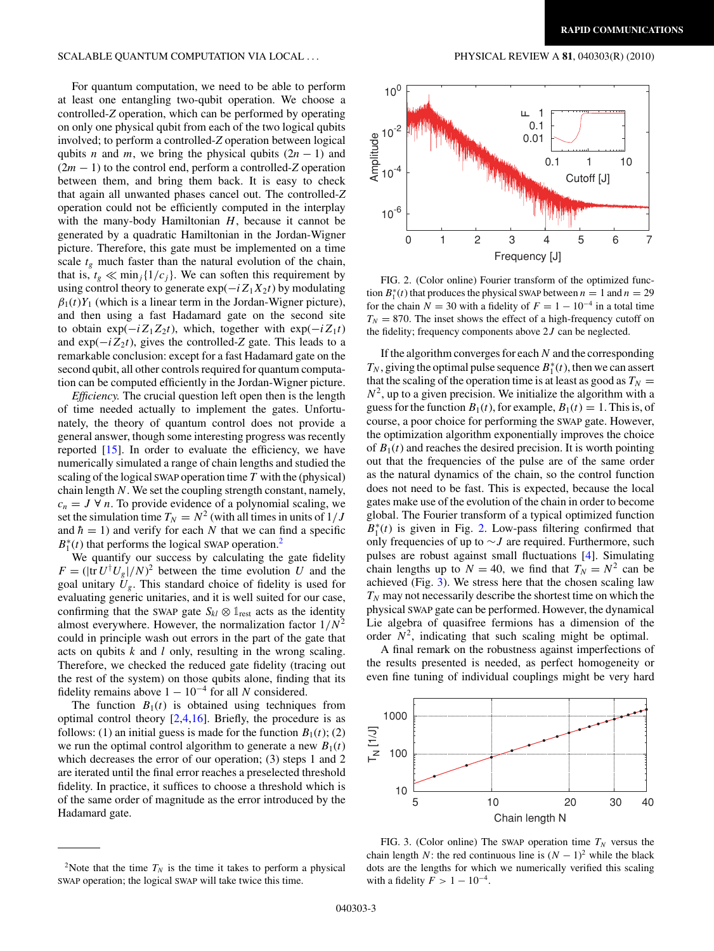### SCALABLE QUANTUM COMPUTATION VIA LOCAL *...* PHYSICAL REVIEW A **81**, 040303(R) (2010)

For quantum computation, we need to be able to perform at least one entangling two-qubit operation. We choose a controlled-*Z* operation, which can be performed by operating on only one physical qubit from each of the two logical qubits involved; to perform a controlled-*Z* operation between logical qubits *n* and *m*, we bring the physical qubits  $(2n - 1)$  and (2*m* − 1) to the control end, perform a controlled-*Z* operation between them, and bring them back. It is easy to check that again all unwanted phases cancel out. The controlled-*Z* operation could not be efficiently computed in the interplay with the many-body Hamiltonian *H*, because it cannot be generated by a quadratic Hamiltonian in the Jordan-Wigner picture. Therefore, this gate must be implemented on a time scale  $t_g$  much faster than the natural evolution of the chain, that is,  $t_g \ll \min_j \{1/c_j\}$ . We can soften this requirement by using control theory to generate  $exp(-iZ_1X_2t)$  by modulating  $\beta_1(t)Y_1$  (which is a linear term in the Jordan-Wigner picture), and then using a fast Hadamard gate on the second site to obtain exp( $-iZ_1Z_2t$ ), which, together with exp( $-iZ_1t$ ) and  $exp(-iZ_2t)$ , gives the controlled-Z gate. This leads to a remarkable conclusion: except for a fast Hadamard gate on the second qubit, all other controls required for quantum computation can be computed efficiently in the Jordan-Wigner picture.

*Efficiency.* The crucial question left open then is the length of time needed actually to implement the gates. Unfortunately, the theory of quantum control does not provide a general answer, though some interesting progress was recently reported [\[15\]](#page-3-0). In order to evaluate the efficiency, we have numerically simulated a range of chain lengths and studied the scaling of the logical SWAP operation time *T* with the (physical) chain length *N*. We set the coupling strength constant, namely,  $c_n = J \forall n$ . To provide evidence of a polynomial scaling, we set the simulation time  $T_N = N^2$  (with all times in units of  $1/J$ and  $\hbar = 1$ ) and verify for each *N* that we can find a specific  $B_1^*(t)$  that performs the logical SWAP operation.<sup>2</sup>

We quantify our success by calculating the gate fidelity  $F = (\frac{\ln U}{U_g} / N)^2$  between the time evolution *U* and the goal unitary  $U_g$ . This standard choice of fidelity is used for evaluating generic unitaries, and it is well suited for our case, confirming that the SWAP gate  $S_{kl} \otimes \mathbb{1}_{\text{rest}}$  acts as the identity almost everywhere. However, the normalization factor 1*/N*<sup>2</sup> could in principle wash out errors in the part of the gate that acts on qubits *k* and *l* only, resulting in the wrong scaling. Therefore, we checked the reduced gate fidelity (tracing out the rest of the system) on those qubits alone, finding that its fidelity remains above  $1 - 10^{-4}$  for all *N* considered.

The function  $B_1(t)$  is obtained using techniques from optimal control theory  $[2,4,16]$ . Briefly, the procedure is as follows: (1) an initial guess is made for the function  $B_1(t)$ ; (2) we run the optimal control algorithm to generate a new  $B_1(t)$ which decreases the error of our operation; (3) steps 1 and 2 are iterated until the final error reaches a preselected threshold fidelity. In practice, it suffices to choose a threshold which is of the same order of magnitude as the error introduced by the Hadamard gate.



FIG. 2. (Color online) Fourier transform of the optimized function  $B_1^*(t)$  that produces the physical SWAP between  $n = 1$  and  $n = 29$ for the chain  $N = 30$  with a fidelity of  $F = 1 - 10^{-4}$  in a total time  $T_N = 870$ . The inset shows the effect of a high-frequency cutoff on the fidelity; frequency components above 2*J* can be neglected.

If the algorithm converges for each *N* and the corresponding  $T_N$ , giving the optimal pulse sequence  $B_1^*(t)$ , then we can assert that the scaling of the operation time is at least as good as  $T_N =$  $N^2$ , up to a given precision. We initialize the algorithm with a guess for the function  $B_1(t)$ , for example,  $B_1(t) = 1$ . This is, of course, a poor choice for performing the SWAP gate. However, the optimization algorithm exponentially improves the choice of  $B_1(t)$  and reaches the desired precision. It is worth pointing out that the frequencies of the pulse are of the same order as the natural dynamics of the chain, so the control function does not need to be fast. This is expected, because the local gates make use of the evolution of the chain in order to become global. The Fourier transform of a typical optimized function  $B_1^*(t)$  is given in Fig. 2. Low-pass filtering confirmed that only frequencies of up to ∼*J* are required. Furthermore, such pulses are robust against small fluctuations [\[4\]](#page-3-0). Simulating chain lengths up to  $N = 40$ , we find that  $T_N = N^2$  can be achieved (Fig. 3). We stress here that the chosen scaling law  $T_N$  may not necessarily describe the shortest time on which the physical SWAP gate can be performed. However, the dynamical Lie algebra of quasifree fermions has a dimension of the order  $N^2$ , indicating that such scaling might be optimal.

A final remark on the robustness against imperfections of the results presented is needed, as perfect homogeneity or even fine tuning of individual couplings might be very hard



FIG. 3. (Color online) The SWAP operation time  $T_N$  versus the chain length *N*: the red continuous line is  $(N - 1)^2$  while the black dots are the lengths for which we numerically verified this scaling with a fidelity  $F > 1 - 10^{-4}$ .

<sup>&</sup>lt;sup>2</sup>Note that the time  $T_N$  is the time it takes to perform a physical SWAP operation; the logical SWAP will take twice this time.